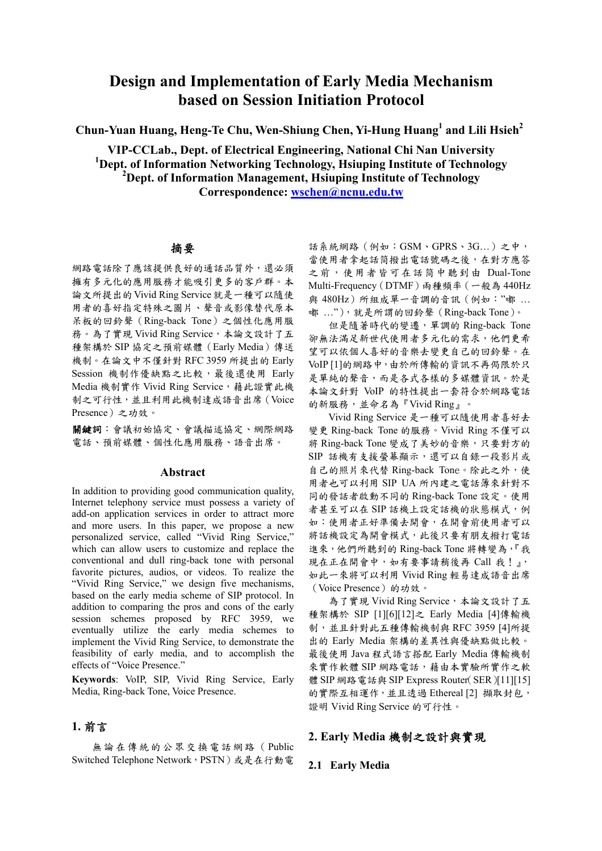# **Design and Implementation of Early Media Mechanism based on Session Initiation Protocol**

**Chun-Yuan Huang, Heng-Te Chu, Wen-Shiung Chen, Yi-Hung Huang<sup>1</sup> and Lili Hsieh2**

**VIP-CCLab., Dept. of Electrical Engineering, National Chi Nan University**  <sup>1</sup>Dept. of Information Networking Technology, Hsiuping Institute of Technology **2 Dept. of Information Management, Hsiuping Institute of Technology Correspondence: wschen@ncnu.edu.tw** 

## 摘要

網路電話除了應該提供良好的通話品質外,還必須 擁有多元化的應用服務才能吸引更多的客戶群。本 論文所提出的Vivid Ring Service就是一種可以隨使 用者的喜好指定特殊之圖片、聲音或影像替代原本 呆板的回鈴聲(Ring-back Tone)之個性化應用服 務。為了實現 Vivid Ring Service,本論文設計了五 種架構於 SIP 協定之預前媒體(Early Media)傳送 機制。在論文中不僅針對 RFC 3959 所提出的 Early Session 機制作優缺點之比較,最後還使用 Early Media 機制實作 Vivid Ring Service, 藉此證實此機 制之可行性,並且利用此機制達成語音出席(Voice Presence)之功效。

關鍵詞:會議初始協定、會議描述協定、網際網路 電話、預前媒體、個性化應用服務、語音出席。

### **Abstract**

In addition to providing good communication quality, Internet telephony service must possess a variety of add-on application services in order to attract more and more users. In this paper, we propose a new personalized service, called "Vivid Ring Service," which can allow users to customize and replace the conventional and dull ring-back tone with personal favorite pictures, audios, or videos. To realize the "Vivid Ring Service," we design five mechanisms, based on the early media scheme of SIP protocol. In addition to comparing the pros and cons of the early session schemes proposed by RFC 3959, we eventually utilize the early media schemes to implement the Vivid Ring Service, to demonstrate the feasibility of early media, and to accomplish the effects of "Voice Presence."

**Keywords**: VoIP, SIP, Vivid Ring Service, Early Media, Ring-back Tone, Voice Presence.

## **1.** 前言

無論在傳統的公眾交換電話網路(Public Switched Telephone Network, PSTN)或是在行動電

話系統網路(例如:GSM、GPRS、3G…)之中, 當使用者拿起話筒撥出電話號碼之後,在對方應答 之前,使用者皆可在話筒中聽到由 Dual-Tone Multi-Frequency(DTMF)兩種頻率(一般為 440Hz 與 480Hz)所組成單一音調的音訊 (例如: "嘟 ... 嘟 …"),就是所謂的回鈴聲(Ring-back Tone)。

但是隨著時代的變遷,單調的 Ring-back Tone 卻無法滿足新世代使用者多元化的需求,他們更希 望可以依個人喜好的音樂去變更自己的回鈴聲。在 VoIP [1]的網路中,由於所傳輸的資訊不再侷限於只 是單純的聲音,而是各式各樣的多媒體資訊。於是 本論文針對 VoIP 的特性提出一套符合於網路電話 的新服務,並命名為『Vivid Ring』。

Vivid Ring Service 是一種可以隨使用者喜好去 變更 Ring-back Tone 的服務。Vivid Ring 不僅可以 將 Ring-back Tone 變成了美妙的音樂,只要對方的 SIP 話機有支援螢幕顯示,還可以自錄一段影片或 自己的照片來代替 Ring-back Tone。除此之外,使 用者也可以利用 SIP UA 所內建之電話簿來針對不 同的發話者啟動不同的 Ring-back Tone 設定。使用 者甚至可以在 SIP 話機上設定話機的狀態模式,例 如:使用者正好準備去開會,在開會前使用者可以 將話機設定為開會模式,此後只要有朋友撥打電話 進來,他們所聽到的 Ring-back Tone 將轉變為,『我 現在正在開會中,如有要事請稍後再 Call 我!』, 如此一來將可以利用 Vivid Ring 輕易達成語音出席 (Voice Presence)的功效。

為了實現 Vivid Ring Service,本論文設計了五 種架構於 SIP [1][6][12]之 Early Media [4]傳輸機 制,並且針對此五種傳輸機制與 RFC 3959 [4]所提 出的 Early Media 架構的差異性與優缺點做比較。 最後使用 Java 程式語言搭配 Early Media 傳輸機制 來實作軟體 SIP 網路電話,藉由本實驗所實作之軟 體 SIP 網路電話與 SIP Express Router(SER)[11][15] 的實際互相運作,並且透過 Ethereal [2] 擷取封包, 證明 Vivid Ring Service 的可行性。

## **2. Early Media** 機制之設計與實現

### **2.1 Early Media**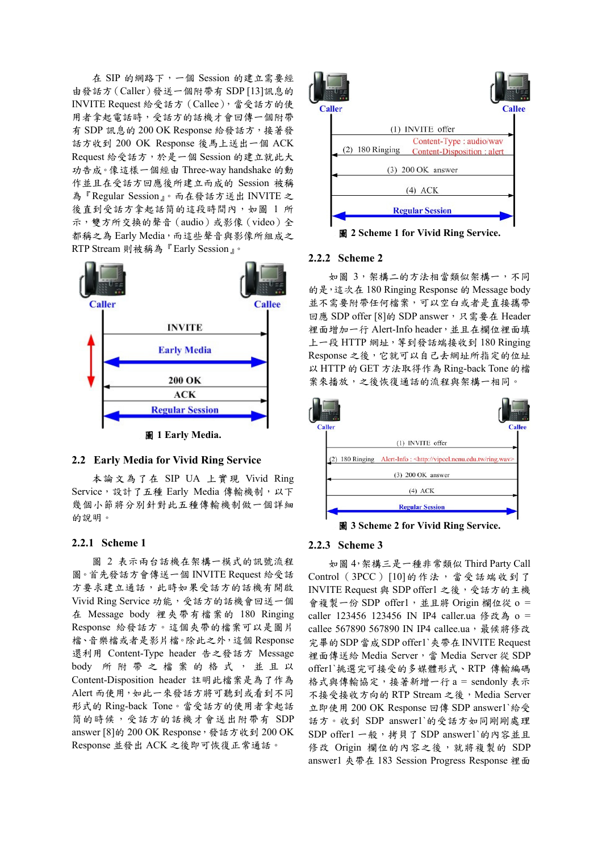在 SIP 的網路下,一個 Session 的建立需要經 由發話方(Caller)發送一個附帶有 SDP [13]訊息的 INVITE Request 給受話方(Callee),當受話方的使 用者拿起電話時,受話方的話機才會回傳一個附帶 有 SDP 訊息的 200 OK Response 給發話方,接著發 話方收到 200 OK Response 後馬上送出一個 ACK Request 給受話方,於是一個 Session 的建立就此大 功告成。像這樣一個經由 Three-way handshake 的動 作並且在受話方回應後所建立而成的 Session 被稱 為『Regular Session』。而在發話方送出 INVITE 之 後直到受話方拿起話筒的這段時間內,如圖 1 所 示,雙方所交換的聲音(audio)或影像(video)全 都稱之為 Early Media,而這些聲音與影像所組成之 RTP Stream 則被稱為『Early Session』。



### **2.2 Early Media for Vivid Ring Service**

本論文為了在 SIP UA 上實現 Vivid Ring Service,設計了五種 Early Media 傳輸機制,以下 幾個小節將分別針對此五種傳輸機制做一個詳細 的說明。

### **2.2.1 Scheme 1**

圖 2 表示兩台話機在架構一模式的訊號流程 圖。首先發話方會傳送一個 INVITE Request 給受話 方要求建立通話,此時如果受話方的話機有開啟 Vivid Ring Service 功能,受話方的話機會回送一個 在 Message body 裡夾帶有檔案的 180 Ringing Response 給發話方。這個夾帶的檔案可以是圖片 檔、音樂檔或者是影片檔。除此之外,這個 Response 還利用 Content-Type header 告之發話方 Message body 所附帶之檔 案 的格式 , 並且以 Content-Disposition header 註明此檔案是為了作為 Alert 而使用,如此一來發話方將可聽到或看到不同 形式的 Ring-back Tone。當受話方的使用者拿起話 筒的時候,受話方的話機才會送出附帶有 SDP answer [8]的 200 OK Response, 發話方收到 200 OK Response 並發出 ACK 之後即可恢復正常通話。



圖 **2 Scheme 1 for Vivid Ring Service.**

### **2.2.2 Scheme 2**

如圖 3, 架構二的方法相當類似架構一,不同 的是,這次在 180 Ringing Response 的 Message body 並不需要附帶任何檔案,可以空白或者是直接攜帶 回應 SDP offer [8]的 SDP answer, 只需要在 Header 裡面增加一行 Alert-Info header,並且在欄位裡面填 上一段 HTTP 網址, 等到發話端接收到 180 Ringing Response 之後,它就可以自己去網址所指定的位址 以 HTTP 的 GET 方法取得作為 Ring-back Tone 的檔 案來播放,之後恢復通話的流程與架構一相同。



圖 **3 Scheme 2 for Vivid Ring Service.** 

#### **2.2.3 Scheme 3**

如圖 4,架構三是一種非常類似 Third Party Call Control (3PCC) [10] 的作法, 當受話端收到了 INVITE Request 與 SDP offer1 之後,受話方的主機 會複製一份 SDP offer1,並且將 Origin 欄位從 o = caller 123456 123456 IN IP4 caller.ua 修改為 o = callee 567890 567890 IN IP4 callee.ua, 最候將修改 完畢的SDP當成SDP offer1`夾帶在INVITE Request 裡面傳送給 Media Server,當 Media Server 從 SDP offer1`挑選完可接受的多媒體形式、RTP 傳輸編碼 格式與傳輸協定,接著新增一行 a = sendonly 表示 不接受接收方向的 RTP Stream 之後, Media Server 立即使用 200 OK Response 回傳 SDP answer1`給受 話方。收到 SDP answer1`的受話方如同剛剛處理 SDP offer1 一般, 拷貝了 SDP answer1`的內容並且 修改 Origin 欄位的內容之後,就將複製的 SDP answer1 夾帶在 183 Session Progress Response 裡面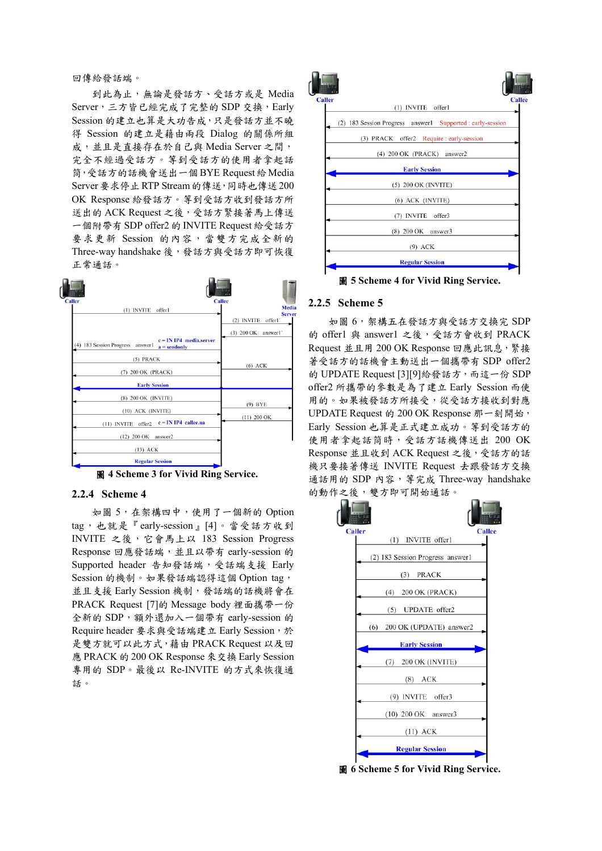#### 回傳給發話端。

到此為止,無論是發話方、受話方或是 Media Server,三方皆已經完成了完整的 SDP 交換, Early Session 的建立也算是大功告成,只是發話方並不曉 得 Session 的建立是藉由兩段 Dialog 的關係所組 成,並且是直接存在於自己與 Media Server 之間, 完全不經過受話方。等到受話方的使用者拿起話 筒,受話方的話機會送出一個BYE Request給Media Server要求停止RTP Stream的傳送,同時也傳送200 OK Response 給發話方。等到受話方收到發話方所 送出的 ACK Request 之後,受話方緊接著馬上傳送 一個附帶有 SDP offer2 的 INVITE Request 給受話方 要求更新 Session 的內容,當雙方完成全新的 Three-way handshake 後,發話方與受話方即可恢復 正常通話。

| <b>Caller</b>                                                                   | <b>Callee</b>            |
|---------------------------------------------------------------------------------|--------------------------|
| (1) INVITE offer1                                                               | Media<br><b>Serve</b>    |
|                                                                                 | offer1'<br>(2) INVITE    |
|                                                                                 | $(3)$ 200 OK<br>answer1' |
| $c = IN$ IP4 media.server<br>(4) 183 Session Progress answer1<br>$a =$ sendonly |                          |
| (5) PRACK                                                                       |                          |
| (7) 200 OK (PRACK)                                                              | $(6)$ ACK                |
| <b>Early Session</b>                                                            |                          |
| (8) 200 OK (INVITE)                                                             |                          |
| (10) ACK (INVITE)                                                               | $(9)$ BYE                |
| $c = IN$ IP4 callee.ua<br>(11) INVITE offer2                                    | $(11)$ 200 OK            |
| $(12)$ 200 OK<br>answer2                                                        |                          |
| $(13)$ ACK                                                                      |                          |
| <b>Regular Session</b>                                                          |                          |

圖 **4 Scheme 3 for Vivid Ring Service.** 

### **2.2.4 Scheme 4**

如圖 5,在架構四中,使用了一個新的 Option tag,也就是『early-session』[4]。當受話方收到 INVITE 之後,它會馬上以 183 Session Progress Response 回應發話端,並且以帶有 early-session 的 Supported header 告知發話端,受話端支援 Early Session 的機制。如果發話端認得這個 Option tag, 並且支援 Early Session 機制,發話端的話機將會在 PRACK Request [7]的 Message body 裡面攜帶一份 全新的 SDP, 額外還加入一個帶有 early-session 的 Require header 要求與受話端建立 Early Session,於 是雙方就可以此方式,藉由 PRACK Request 以及回 應 PRACK 的 200 OK Response 來交換 Early Session 專用的 SDP。最後以 Re-INVITE 的方式來恢復通 話。



圖 **5 Scheme 4 for Vivid Ring Service.**

#### **2.2.5 Scheme 5**

如圖 6,架構五在發話方與受話方交換完 SDP 的 offer1 與 answer1 之後,受話方會收到 PRACK Request 並且用 200 OK Response 回應此訊息,緊接 著受話方的話機會主動送出一個攜帶有 SDP offer2 的 UPDATE Request [3][9]給發話方, 而這一份 SDP offer2 所攜帶的參數是為了建立 Early Session 而使 用的。如果被發話方所接受,從受話方接收到對應 UPDATE Request 的 200 OK Response 那一刻開始, Early Session 也算是正式建立成功。等到受話方的 使用者拿起話筒時,受話方話機傳送出 200 OK Response 並且收到 ACK Request 之後,受話方的話 機只要接著傳送 INVITE Request 去跟發話方交換 通話用的 SDP 內容, 等完成 Three-way handshake 的動作之後,雙方即可開始通話。



圖 **6 Scheme 5 for Vivid Ring Service.**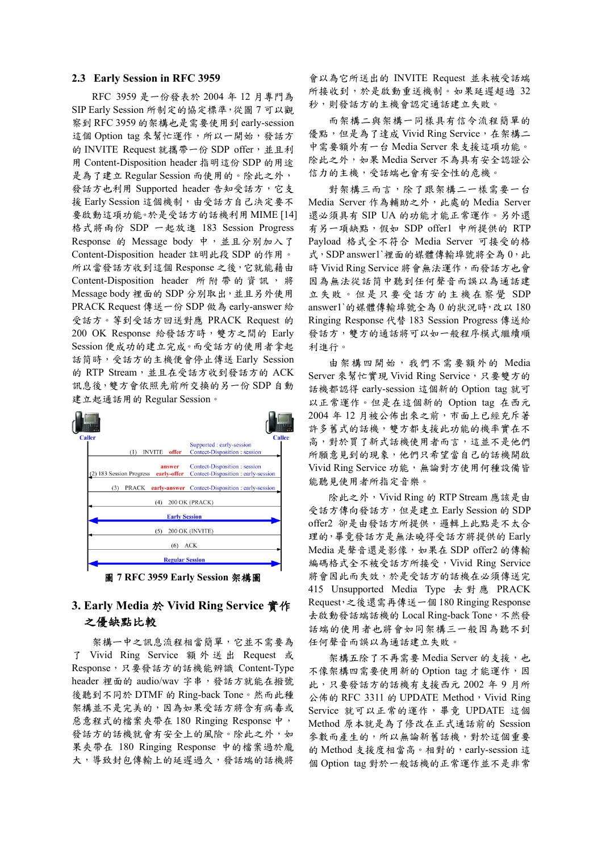#### **2.3 Early Session in RFC 3959**

RFC 3959 是一份發表於 2004 年 12 月專門為 SIP Early Session 所制定的協定標準,從圖 7 可以觀 察到 RFC 3959 的架構也是需要使用到 early-session 這個 Option tag 來幫忙運作,所以一開始,發話方 的 INVITE Request 就攜帶一份 SDP offer,並且利 用 Content-Disposition header 指明這份 SDP 的用途 是為了建立 Regular Session 而使用的。除此之外, 發話方也利用 Supported header 告知受話方,它支 援 Early Session 這個機制,由受話方自己決定要不 要啟動這項功能。於是受話方的話機利用MIME [14] 格式將兩份 SDP 一起放進 183 Session Progress Response 的 Message body 中,並且分別加入了 Content-Disposition header 註明此段 SDP 的作用。 所以當發話方收到這個 Response 之後,它就能藉由 Content-Disposition header 所 附帶的資訊 , 將 Message body 裡面的 SDP 分別取出,並且另外使用 PRACK Request 傳送一份 SDP 做為 early-answer 給 受話方。等到受話方回送對應 PRACK Request 的 200 OK Response 給發話方時,雙方之間的 Early Session 便成功的建立完成。而受話方的使用者拿起 話筒時,受話方的主機便會停止傳送 Early Session 的 RTP Stream, 並且在受話方收到發話方的 ACK 訊息後,雙方會依照先前所交換的另一份 SDP 自動 建立起通話用的 Regular Session。



## **3. Early Media** 於 **Vivid Ring Service** 實作 之優缺點比較

架構ㄧ中之訊息流程相當簡單,它並不需要為 了 Vivid Ring Service 額 外 送 出 Request 或 Response,只要發話方的話機能辨識 Content-Type header 裡面的 audio/wav 字串,發話方就能在撥號 後聽到不同於 DTMF 的 Ring-back Tone。然而此種 架構並不是完美的,因為如果受話方將含有病毒或 惡意程式的檔案夾帶在 180 Ringing Response 中, 發話方的話機就會有安全上的風險。除此之外,如 果夾帶在 180 Ringing Response 中的檔案過於龐 大,導致封包傳輸上的延遲過久,發話端的話機將 會以為它所送出的 INVITE Request 並未被受話端 所接收到,於是啟動重送機制。如果延遲超過 32 秒,則發話方的主機會認定通話建立失敗。

而架構二與架構一同樣具有信令流程簡單的 優點,但是為了達成 Vivid Ring Service, 在架構二 中需要額外有一台 Media Server 來支援這項功能。 除此之外,如果 Media Server 不為具有安全認證公 信力的主機,受話端也會有安全性的危機。

對架構三而言,除了跟架構二一樣需要一台 Media Server 作為輔助之外,此處的 Media Server 還必須具有 SIP UA 的功能才能正常運作。另外還 有另一項缺點,假如 SDP offer1 中所提供的 RTP Payload 格式全不符合 Media Server 可接受的格 式, SDP answer1`裡面的媒體傳輸埠號將全為 0, 此 時 Vivid Ring Service 將會無法運作,而發話方也會 因為無法從話筒中聽到任何聲音而誤以為通話建 立失敗。但是只要受話方的主機在察覺 SDP answer1`的媒體傳輸埠號全為 0 的狀況時,改以 180 Ringing Response 代替 183 Session Progress 傳送給 發話方,雙方的通話將可以如一般程序模式繼續順 利進行。

由架構四開始,我們不需要額外的 Media Server 來幫忙實現 Vivid Ring Service,只要雙方的 話機都認得 early-session 這個新的 Option tag 就可 以正常運作。但是在這個新的 Option tag 在西元 2004 年 12 月被公佈出來之前,市面上已經充斥著 許多舊式的話機,雙方都支援此功能的機率實在不 高,對於買了新式話機使用者而言,這並不是他們 所願意見到的現象,他們只希望當自己的話機開啟 Vivid Ring Service 功能,無論對方使用何種設備皆 能聽見使用者所指定音樂。

除此之外,Vivid Ring 的 RTP Stream 應該是由 受話方傳向發話方,但是建立 Early Session 的 SDP offer2 卻是由發話方所提供,邏輯上此點是不太合 理的,畢竟發話方是無法曉得受話方將提供的 Early Media 是聲音還是影像,如果在 SDP offer2 的傳輸 編碼格式全不被受話方所接受,Vivid Ring Service 將會因此而失效,於是受話方的話機在必須傳送完 415 Unsupported Media Type 去對應 PRACK Request,之後還需再傳送一個 180 Ringing Response 去啟動發話端話機的 Local Ring-back Tone,不然發 話端的使用者也將會如同架構三一般因為聽不到 任何聲音而誤以為通話建立失敗。

架構五除了不再需要 Media Server 的支援,也 不像架構四需要使用新的 Option tag 才能運作,因 此,只要發話方的話機有支援西元 2002 年 9 月所 公佈的 RFC 3311 的 UPDATE Method, Vivid Ring Service 就可以正常的運作,畢竟 UPDATE 這個 Method 原本就是為了修改在正式通話前的 Session 參數而產生的,所以無論新舊話機,對於這個重要 的 Method 支援度相當高。相對的,early-session 這 個 Option tag 對於一般話機的正常運作並不是非常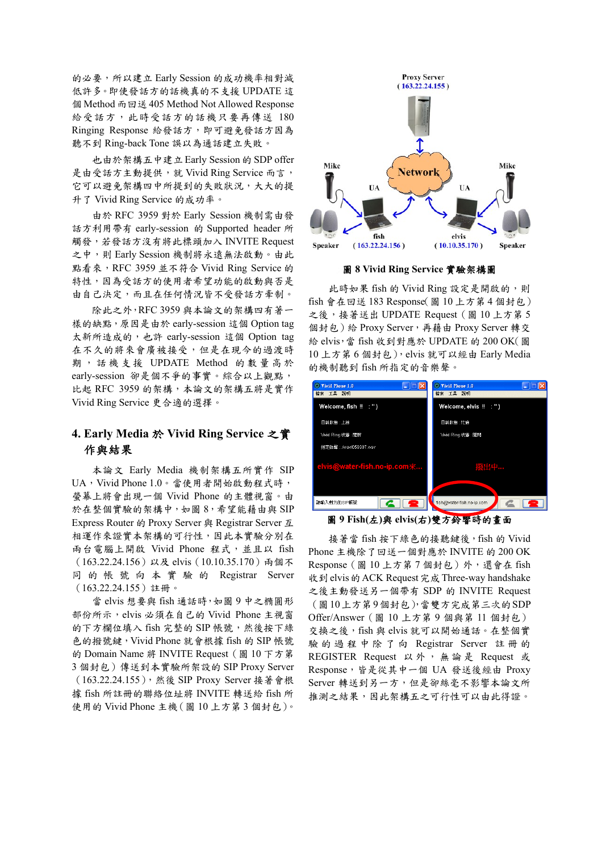的必要,所以建立 Early Session 的成功機率相對減 低許多。即使發話方的話機真的不支援 UPDATE 這 個 Method 而回送 405 Method Not Allowed Response 給受話方,此時受話方的話機只要再傳送 180 Ringing Response 給發話方,即可避免發話方因為 聽不到 Ring-back Tone 誤以為通話建立失敗。

也由於架構五中建立 Early Session 的 SDP offer 是由受話方主動提供,就 Vivid Ring Service 而言, 它可以避免架構四中所提到的失敗狀況,大大的提 升了 Vivid Ring Service 的成功率。

由於 RFC 3959 對於 Early Session 機制需由發 話方利用帶有 early-session 的 Supported header 所 觸發,若發話方沒有將此標頭加入 INVITE Request 之中,則 Early Session 機制將永遠無法啟動。由此 點看來, RFC 3959 並不符合 Vivid Ring Service 的 特性,因為受話方的使用者希望功能的啟動與否是 由自己決定,而且在任何情況皆不受發話方牽制。

除此之外,RFC 3959 與本論文的架構四有著一 樣的缺點,原因是由於 early-session 這個 Option tag 太新所造成的,也許 early-session 這個 Option tag 在不久的將來會廣被接受,但是在現今的過渡時 期,話機 支 援 UPDATE Method 的數量高於 early-session 卻是個不爭的事實。綜合以上觀點, 比起 RFC 3959 的架構,本論文的架構五將是實作 Vivid Ring Service 更合適的選擇。

## **4. Early Media** 於 **Vivid Ring Service** 之實 作與結果

本論文 Early Media 機制架構五所實作 SIP UA, Vivid Phone 1.0。當使用者開始啟動程式時, 螢幕上將會出現一個 Vivid Phone 的主體視窗。由 於在整個實驗的架構中,如圖 8,希望能藉由與 SIP Express Router 的 Proxy Server 與 Registrar Server 互 相運作來證實本架構的可行性,因此本實驗分別在 兩台電腦上開啟 Vivid Phone 程式,並且以 fish (163.22.24.156)以及 elvis(10.10.35.170)兩個不 同 的帳號 向本實 驗 的 Registrar Server (163.22.24.155)註冊。

當 elvis 想要與 fish 通話時,如圖 9 中之橢圓形 部份所示,elvis 必須在自己的 Vivid Phone 主視窗 的下方欄位填入 fish 完整的 SIP 帳號,然後按下綠 色的撥號鍵,Vivid Phone 就會根據 fish 的 SIP 帳號 的 Domain Name 將 INVITE Request (圖 10 下方第 3 個封包)傳送到本實驗所架設的 SIP Proxy Server (163.22.24.155),然後 SIP Proxy Server 接著會根 據 fish 所註冊的聯絡位址將 INVITE 轉送給 fish 所 使用的 Vivid Phone 主機(圖 10 上方第 3 個封包)。



圖 **8 Vivid Ring Service** 實驗架構圖

此時如果 fish 的 Vivid Ring 設定是開啟的,則 fish 會在回送 183 Response(圖 10 上方第 4 個封包) 之後,接著送出 UPDATE Request (圖 10 上方第 5 個封包)給 Proxy Server,再藉由 Proxy Server 轉交 給 elvis,當 fish 收到對應於 UPDATE 的 200 OK(圖 10 上方第 6 個封包),elvis 就可以經由 Early Media 的機制聽到 fish 所指定的音樂聲。



圖 **9 Fish(**左**)**與 **elvis(**右**)**雙方鈴響時的畫面

接著當 fish 按下綠色的接聽鍵後,fish 的 Vivid Phone 主機除了回送一個對應於 INVITE 的 200 OK Response (圖 10 上方第7 個封包)外,還會在 fish 收到elvis的ACK Request完成Three-way handshake 之後主動發送另一個帶有 SDP 的 INVITE Request (圖10上方第9個封包),當雙方完成第三次的SDP Offer/Answer(圖 10 上方第 9 個與第 11 個封包) 交換之後, fish 與 elvis 就可以開始通話。在整個實 驗的過程中除了向 Registrar Server 註冊的 REGISTER Request 以外,無論是 Request 或 Response,皆是從其中一個 UA 發送後經由 Proxy Server 轉送到另一方,但是卻絲毫不影響本論文所 推測之結果,因此架構五之可行性可以由此得證。